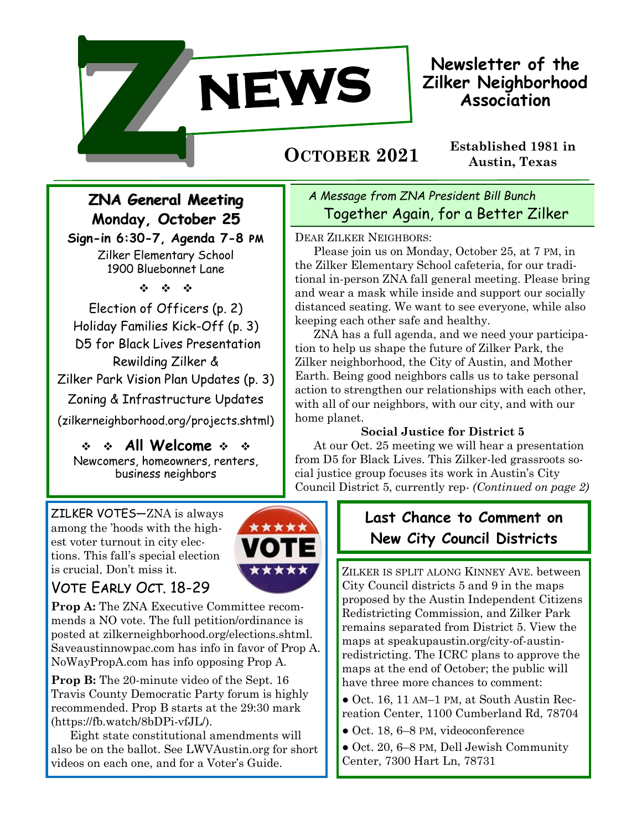

**Newsletter of the Zilker Neighborhood Association**

# **Austin, Texas OCTOBER 2021**

**Established 1981 in** 

# **ZNA General Meeting Monday, October 25**

**Sign-in 6:30-7, Agenda 7-8 pm** Zilker Elementary School 1900 Bluebonnet Lane

 $\label{eq:2.1} \frac{d\mathbf{r}}{dt} = -\frac{d\mathbf{r}}{dt} = -\frac{d\mathbf{r}}{dt}$ 

Election of Officers (p. 2) Holiday Families Kick-Off (p. 3) D5 for Black Lives Presentation Rewilding Zilker & Zilker Park Vision Plan Updates (p. 3) Zoning & Infrastructure Updates (zilkerneighborhood.org/projects.shtml)

 $\div$   $\div$  All Welcome  $\div$   $\div$ Newcomers, homeowners, renters, business neighbors

ZILKER VOTES—ZNA is always among the 'hoods with the highest voter turnout in city elections. This fall's special election is crucial. Don't miss it.



### Vote Early Oct. 18-29

**Prop A:** The ZNA Executive Committee recommends a NO vote. The full petition/ordinance is posted at zilkerneighborhood.org/elections.shtml. Saveaustinnowpac.com has info in favor of Prop A. NoWayPropA.com has info opposing Prop A.

**Prop B:** The 20-minute video of the Sept. 16 Travis County Democratic Party forum is highly recommended. Prop B starts at the 29:30 mark (https://fb.watch/8bDPi-vfJL/).

Eight state constitutional amendments will also be on the ballot. See LWVAustin.org for short videos on each one, and for a Voter's Guide.

### *A Message from ZNA President Bill Bunch* Together Again, for a Better Zilker

DEAR ZILKER NEIGHBORS:

Please join us on Monday, October 25, at 7 PM, in the Zilker Elementary School cafeteria, for our traditional in-person ZNA fall general meeting. Please bring and wear a mask while inside and support our socially distanced seating. We want to see everyone, while also keeping each other safe and healthy.

ZNA has a full agenda, and we need your participation to help us shape the future of Zilker Park, the Zilker neighborhood, the City of Austin, and Mother Earth. Being good neighbors calls us to take personal action to strengthen our relationships with each other, with all of our neighbors, with our city, and with our home planet.

### **Social Justice for District 5**

At our Oct. 25 meeting we will hear a presentation from [D5 for Black Lives.](https://www.d5forblacklives.com/) This Zilker-led grassroots social justice group focuses its work in Austin's City Council District 5, currently rep- *(Continued on page 2)*

## **Last Chance to Comment on New City Council Districts**

ZILKER IS SPLIT ALONG KINNEY AVE. between City Council districts 5 and 9 in the maps proposed by the Austin Independent Citizens Redistricting Commission, and Zilker Park remains separated from District 5. View the maps at speakupaustin.org/city-of-austinredistricting. The ICRC plans to approve the maps at the end of October; the public will have three more chances to comment:

● Oct. 16, 11 AM–1 PM, at South Austin Recreation Center, 1100 Cumberland Rd, 78704

- Oct. 18, 6–8 PM, videoconference
- Oct. 20, 6–8 PM, Dell Jewish Community Center, 7300 Hart Ln, 78731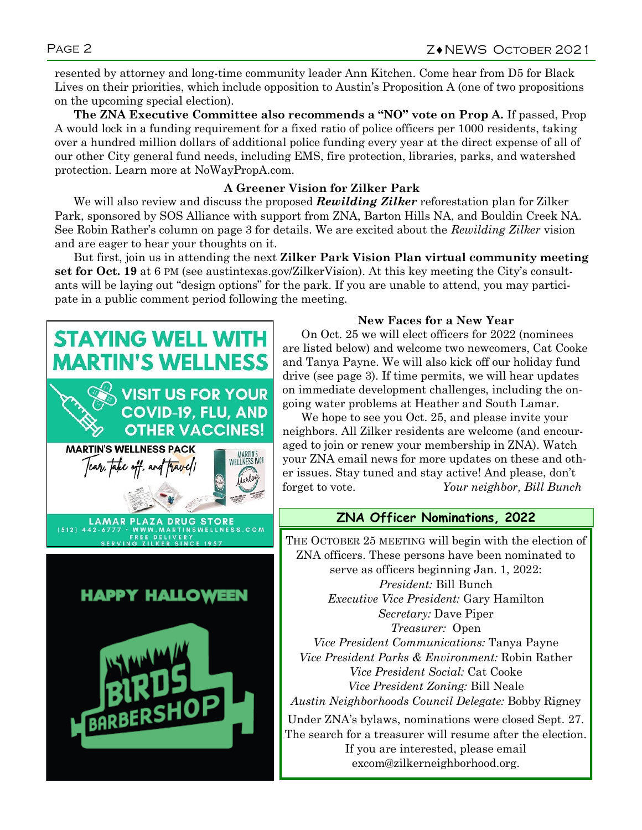resented by attorney and long-time community leader Ann Kitchen. Come hear from D5 for Black Lives on their priorities, which include opposition to Austin's Proposition A (one of two propositions on the upcoming special election).

**The ZNA Executive Committee also recommends a "NO" vote on Prop A.** If passed, Prop A would lock in a funding requirement for a fixed ratio of police officers per 1000 residents, taking over a hundred million dollars of additional police funding every year at the direct expense of all of our other City general fund needs, including EMS, fire protection, libraries, parks, and watershed protection. Learn more at [NoWayPropA.com.](https://nowaypropa.com/)

#### **A Greener Vision for Zilker Park**

We will also review and discuss the proposed *Rewilding Zilker* reforestation plan for Zilker Park, sponsored by SOS Alliance with support from ZNA, Barton Hills NA, and Bouldin Creek NA. See Robin Rather's column on page 3 for details. We are excited about the *Rewilding Zilker* vision and are eager to hear your thoughts on it.

But first, join us in attending the next **Zilker Park Vision Plan virtual community meeting set for Oct. 19** at 6 PM (see austintexas.gov/ZilkerVision). At this key meeting the City's consultants will be laying out "design options" for the park. If you are unable to attend, you may participate in a public comment period following the meeting.



#### **New Faces for a New Year**

On Oct. 25 we will elect officers for 2022 (nominees are listed below) and welcome two newcomers, Cat Cooke and Tanya Payne. We will also kick off our holiday fund drive (see page 3). If time permits, we will hear updates on immediate development challenges, including the ongoing water problems at Heather and South Lamar.

We hope to see you Oct. 25, and please invite your neighbors. All Zilker residents are welcome (and encouraged to join or renew your membership in ZNA). Watch your ZNA email news for more updates on these and other issues. Stay tuned and stay active! And please, don't forget to vote. *Your neighbor, Bill Bunch*

#### **ZNA Officer Nominations, 2022**

THE OCTOBER 25 MEETING will begin with the election of ZNA officers. These persons have been nominated to serve as officers beginning Jan. 1, 2022: *President:* Bill Bunch *Executive Vice President:* Gary Hamilton *Secretary:* Dave Piper *Treasurer:* Open *Vice President Communications:* Tanya Payne *Vice President Parks & Environment:* Robin Rather *Vice President Social:* Cat Cooke *Vice President Zoning:* Bill Neale *Austin Neighborhoods Council Delegate:* Bobby Rigney

Under ZNA's bylaws, nominations were closed Sept. 27. The search for a treasurer will resume after the election. If you are interested, please email excom@zilkerneighborhood.org.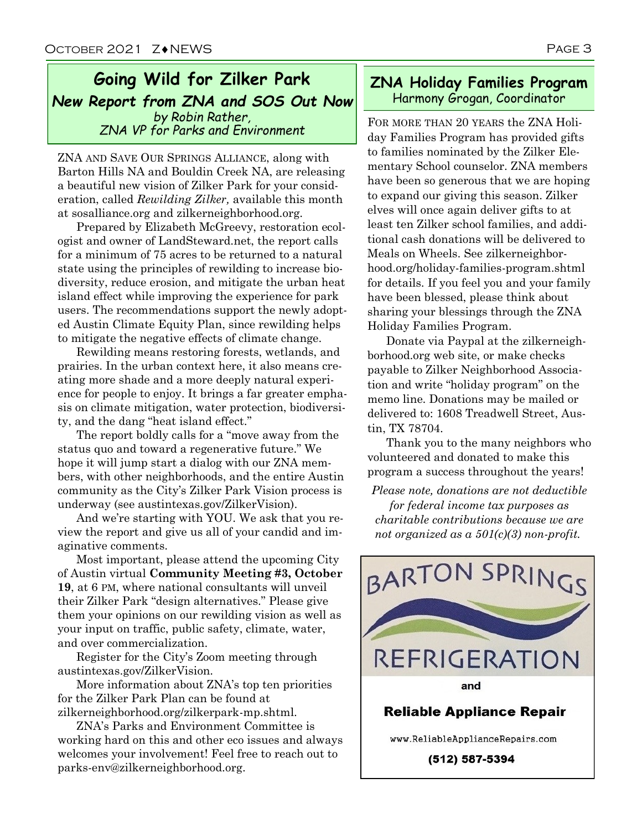### **Going Wild for Zilker Park** *New Report from ZNA and SOS Out Now by Robin Rather, Dy Robin Rather,*<br>*ZNA VP for Parks and Environment* FOR MORE THAN 20 YEARS the ZNA Holi-

ZNA AND SAVE OUR SPRINGS ALLIANCE, along with Barton Hills NA and Bouldin Creek NA, are releasing a beautiful new vision of Zilker Park for your consideration, called *Rewilding Zilker,* available this month at sosalliance.org and zilkerneighborhood.org.

Prepared by Elizabeth McGreevy, restoration ecologist and owner of LandSteward.net, the report calls for a minimum of 75 acres to be returned to a natural state using the principles of rewilding to increase biodiversity, reduce erosion, and mitigate the urban heat island effect while improving the experience for park users. The recommendations support the newly adopted Austin Climate Equity Plan, since rewilding helps to mitigate the negative effects of climate change.

Rewilding means restoring forests, wetlands, and prairies. In the urban context here, it also means creating more shade and a more deeply natural experience for people to enjoy. It brings a far greater emphasis on climate mitigation, water protection, biodiversity, and the dang "heat island effect."

The report boldly calls for a "move away from the status quo and toward a regenerative future." We hope it will jump start a dialog with our ZNA members, with other neighborhoods, and the entire Austin community as the City's Zilker Park Vision process is underway (see austintexas.gov/ZilkerVision).

And we're starting with YOU. We ask that you review the report and give us all of your candid and imaginative comments.

Most important, please attend the upcoming City of Austin virtual **Community Meeting #3, October 19**, at 6 PM, where national consultants will unveil their Zilker Park "design alternatives." Please give them your opinions on our rewilding vision as well as your input on traffic, public safety, climate, water, and over commercialization.

Register for the City's Zoom meeting through austintexas.gov/ZilkerVision.

More information about ZNA's top ten priorities for the Zilker Park Plan can be found at zilkerneighborhood.org/zilkerpark-mp.shtml.

ZNA's Parks and Environment Committee is working hard on this and other eco issues and always welcomes your involvement! Feel free to reach out to parks-env@zilkerneighborhood.org.

#### **ZNA Holiday Families Program**  Harmony Grogan, Coordinator

day Families Program has provided gifts to families nominated by the Zilker Elementary School counselor. ZNA members have been so generous that we are hoping to expand our giving this season. Zilker elves will once again deliver gifts to at least ten Zilker school families, and additional cash donations will be delivered to Meals on Wheels. See zilkerneighborhood.org/holiday-families-program.shtml for details. If you feel you and your family have been blessed, please think about sharing your blessings through the ZNA Holiday Families Program.

Donate via Paypal at the zilkerneighborhood.org web site, or make checks payable to Zilker Neighborhood Association and write "holiday program" on the memo line. Donations may be mailed or delivered to: 1608 Treadwell Street, Austin, TX 78704.

Thank you to the many neighbors who volunteered and donated to make this program a success throughout the years!

*Please note, donations are not deductible for federal income tax purposes as charitable contributions because we are not organized as a 501(c)(3) non-profit.*